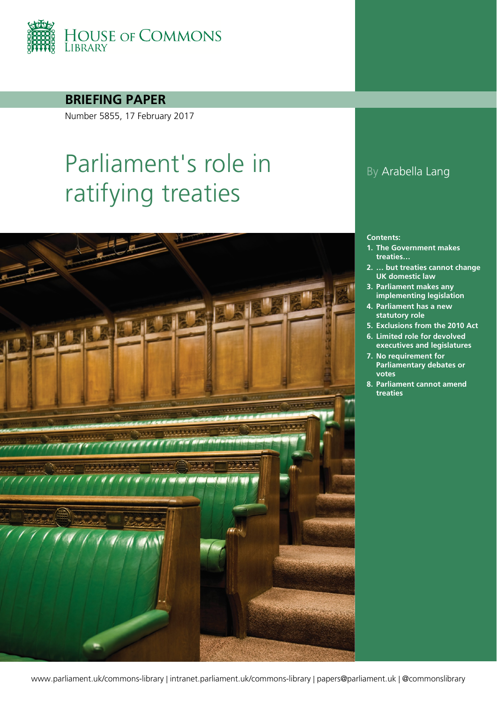

**BRIEFING PAPER**

Number 5855, 17 February 2017

# Parliament's role in ratifying treaties



### By Arabella Lang

#### **Contents:**

- **1. [The Government makes](#page-4-0)  [treaties…](#page-4-0)**
- **2. [… but treaties cannot change](#page-5-0)  [UK domestic law](#page-5-0)**
- **3. [Parliament makes any](#page-7-0)  [implementing legislation](#page-7-0)**
- **4. [Parliament has a new](#page-9-0)  [statutory role](#page-9-0)**
- **5. [Exclusions from the 2010 Act](#page-13-0)**
- **6. [Limited role for devolved](#page-16-0)  [executives and legislatures](#page-16-0)**
- **7. [No requirement for](#page-17-0)  [Parliamentary debates or](#page-17-0)  [votes](#page-17-0)**
- **8. [Parliament cannot amend](#page-20-0)  [treaties](#page-20-0)**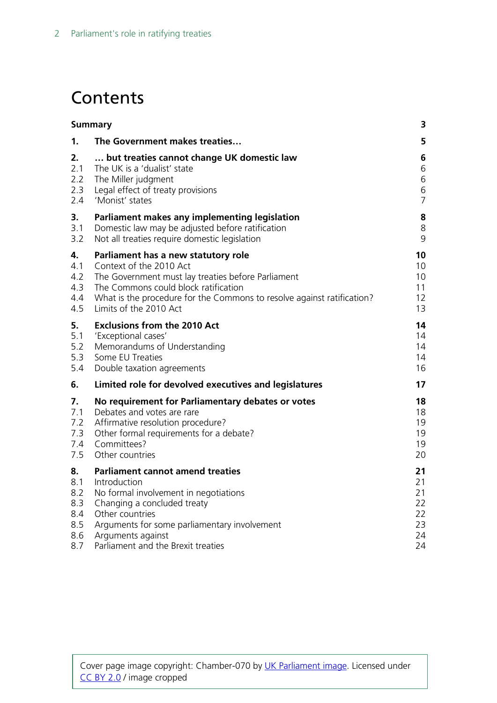# **Contents**

| <b>Summary</b> |                                                                        | 3              |
|----------------|------------------------------------------------------------------------|----------------|
| 1.             | The Government makes treaties                                          | 5              |
| 2.             | but treaties cannot change UK domestic law                             | 6              |
| 2.1            | The UK is a 'dualist' state                                            | 6              |
| 2.2            | The Miller judgment                                                    | 6              |
| 2.3            | Legal effect of treaty provisions                                      | 6              |
| 2.4            | 'Monist' states                                                        | $\overline{7}$ |
| 3.             | Parliament makes any implementing legislation                          | 8              |
| 3.1            | Domestic law may be adjusted before ratification                       | 8              |
| 3.2            | Not all treaties require domestic legislation                          | 9              |
| 4.             | Parliament has a new statutory role                                    | 10             |
| 4.1            | Context of the 2010 Act                                                | 10             |
| 4.2            | The Government must lay treaties before Parliament                     | 10             |
| 4.3            | The Commons could block ratification                                   | 11             |
| 4.4            | What is the procedure for the Commons to resolve against ratification? | 12             |
| 4.5            | Limits of the 2010 Act                                                 | 13             |
| 5.             | <b>Exclusions from the 2010 Act</b>                                    | 14             |
| 5.1            | 'Exceptional cases'                                                    | 14             |
| 5.2            | Memorandums of Understanding                                           | 14             |
| 5.3            | Some EU Treaties                                                       | 14             |
| 5.4            | Double taxation agreements                                             | 16             |
| 6.             | Limited role for devolved executives and legislatures                  | 17             |
| 7.             | No requirement for Parliamentary debates or votes                      | 18             |
| 7.1            | Debates and votes are rare                                             | 18             |
| 7.2            | Affirmative resolution procedure?                                      | 19             |
| 7.3            | Other formal requirements for a debate?                                | 19             |
| 7.4            | Committees?                                                            | 19             |
| 7.5            | Other countries                                                        | 20             |
| 8.             | <b>Parliament cannot amend treaties</b>                                | 21             |
| 8.1            | Introduction                                                           | 21             |
| 8.2            | No formal involvement in negotiations                                  | 21             |
| 8.3            | Changing a concluded treaty                                            | 22             |
| 8.4            | Other countries                                                        | 22             |
| 8.5            | Arguments for some parliamentary involvement                           | 23             |
| 8.6            | Arguments against                                                      | 24             |
| 8.7            | Parliament and the Brexit treaties                                     | 24             |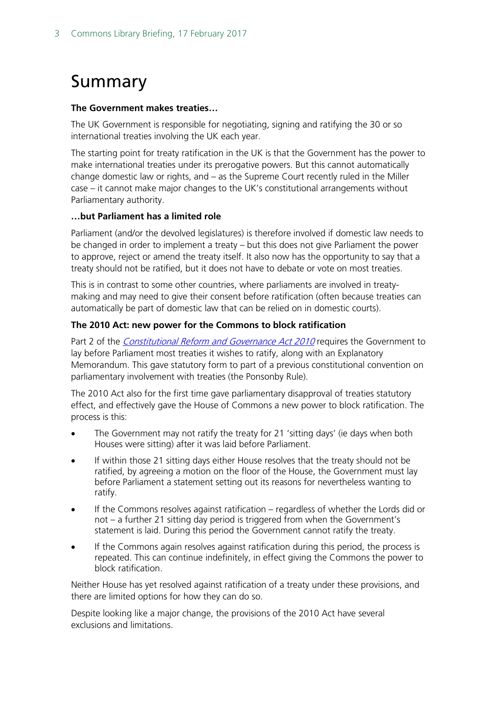# <span id="page-2-0"></span>Summary

#### **The Government makes treaties…**

The UK Government is responsible for negotiating, signing and ratifying the 30 or so international treaties involving the UK each year.

The starting point for treaty ratification in the UK is that the Government has the power to make international treaties under its prerogative powers. But this cannot automatically change domestic law or rights, and – as the Supreme Court recently ruled in the Miller case – it cannot make major changes to the UK's constitutional arrangements without Parliamentary authority.

### **…but Parliament has a limited role**

Parliament (and/or the devolved legislatures) is therefore involved if domestic law needs to be changed in order to implement a treaty – but this does not give Parliament the power to approve, reject or amend the treaty itself. It also now has the opportunity to say that a treaty should not be ratified, but it does not have to debate or vote on most treaties.

This is in contrast to some other countries, where parliaments are involved in treatymaking and may need to give their consent before ratification (often because treaties can automatically be part of domestic law that can be relied on in domestic courts).

### **The 2010 Act: new power for the Commons to block ratification**

Part 2 of the *[Constitutional Reform and Governance Act 2010](http://www.legislation.gov.uk/ukpga/2010/25/contents)* requires the Government to lay before Parliament most treaties it wishes to ratify, along with an Explanatory Memorandum. This gave statutory form to part of a previous constitutional convention on parliamentary involvement with treaties (the Ponsonby Rule).

The 2010 Act also for the first time gave parliamentary disapproval of treaties statutory effect, and effectively gave the House of Commons a new power to block ratification. The process is this:

- The Government may not ratify the treaty for 21 'sitting days' (ie days when both Houses were sitting) after it was laid before Parliament.
- If within those 21 sitting days either House resolves that the treaty should not be ratified, by agreeing a motion on the floor of the House, the Government must lay before Parliament a statement setting out its reasons for nevertheless wanting to ratify.
- If the Commons resolves against ratification regardless of whether the Lords did or not – a further 21 sitting day period is triggered from when the Government's statement is laid. During this period the Government cannot ratify the treaty.
- If the Commons again resolves against ratification during this period, the process is repeated. This can continue indefinitely, in effect giving the Commons the power to block ratification.

Neither House has yet resolved against ratification of a treaty under these provisions, and there are limited options for how they can do so.

Despite looking like a major change, the provisions of the 2010 Act have several exclusions and limitations.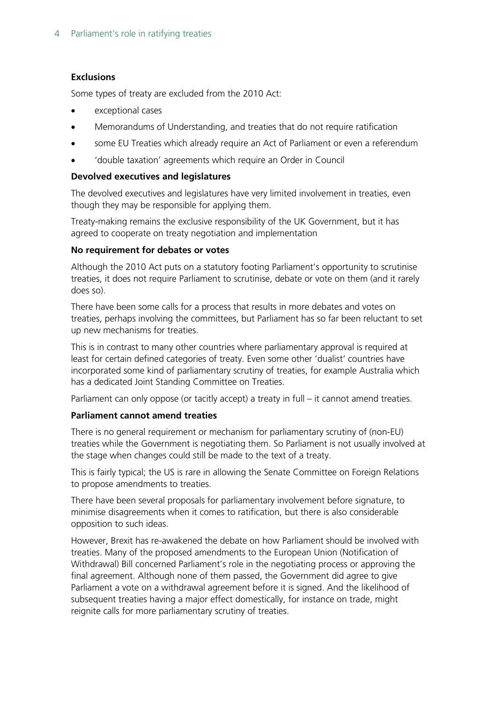### **Exclusions**

Some types of treaty are excluded from the 2010 Act:

- exceptional cases
- Memorandums of Understanding, and treaties that do not require ratification
- some EU Treaties which already require an Act of Parliament or even a referendum
- 'double taxation' agreements which require an Order in Council

### **Devolved executives and legislatures**

The devolved executives and legislatures have very limited involvement in treaties, even though they may be responsible for applying them.

Treaty-making remains the exclusive responsibility of the UK Government, but it has agreed to cooperate on treaty negotiation and implementation

#### **No requirement for debates or votes**

Although the 2010 Act puts on a statutory footing Parliament's opportunity to scrutinise treaties, it does not require Parliament to scrutinise, debate or vote on them (and it rarely does so).

There have been some calls for a process that results in more debates and votes on treaties, perhaps involving the committees, but Parliament has so far been reluctant to set up new mechanisms for treaties.

This is in contrast to many other countries where parliamentary approval is required at least for certain defined categories of treaty. Even some other 'dualist' countries have incorporated some kind of parliamentary scrutiny of treaties, for example Australia which has a dedicated Joint Standing Committee on Treaties.

Parliament can only oppose (or tacitly accept) a treaty in full – it cannot amend treaties.

### **Parliament cannot amend treaties**

There is no general requirement or mechanism for parliamentary scrutiny of (non-EU) treaties while the Government is negotiating them. So Parliament is not usually involved at the stage when changes could still be made to the text of a treaty.

This is fairly typical; the US is rare in allowing the Senate Committee on Foreign Relations to propose amendments to treaties.

There have been several proposals for parliamentary involvement before signature, to minimise disagreements when it comes to ratification, but there is also considerable opposition to such ideas.

However, Brexit has re-awakened the debate on how Parliament should be involved with treaties. Many of the proposed amendments to the European Union (Notification of Withdrawal) Bill concerned Parliament's role in the negotiating process or approving the final agreement. Although none of them passed, the Government did agree to give Parliament a vote on a withdrawal agreement before it is signed. And the likelihood of subsequent treaties having a major effect domestically, for instance on trade, might reignite calls for more parliamentary scrutiny of treaties.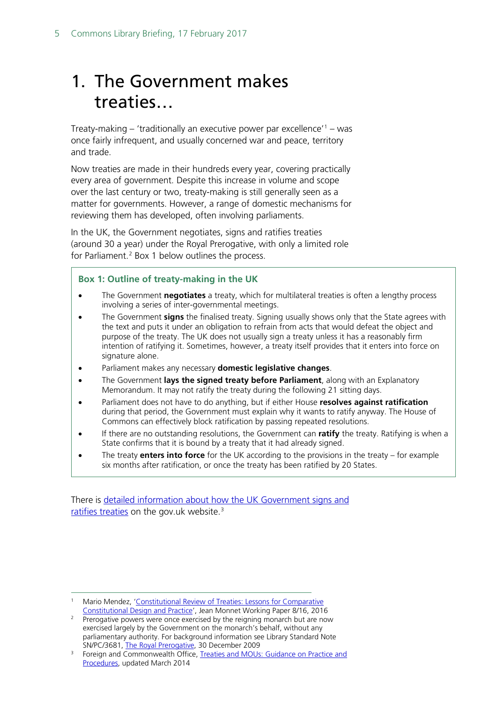# <span id="page-4-0"></span>1. The Government makes treaties…

Treaty-making – 'traditionally an executive power par excellence'<sup>[1](#page-4-1)</sup> – was once fairly infrequent, and usually concerned war and peace, territory and trade.

Now treaties are made in their hundreds every year, covering practically every area of government. Despite this increase in volume and scope over the last century or two, treaty-making is still generally seen as a matter for governments. However, a range of domestic mechanisms for reviewing them has developed, often involving parliaments.

In the UK, the Government negotiates, signs and ratifies treaties (around 30 a year) under the Royal Prerogative, with only a limited role for Parliament. [2](#page-4-2) Box 1 below outlines the process.

#### **Box 1: Outline of treaty-making in the UK**

- The Government **negotiates** a treaty, which for multilateral treaties is often a lengthy process involving a series of inter-governmental meetings.
- The Government **signs** the finalised treaty. Signing usually shows only that the State agrees with the text and puts it under an obligation to refrain from acts that would defeat the object and purpose of the treaty. The UK does not usually sign a treaty unless it has a reasonably firm intention of ratifying it. Sometimes, however, a treaty itself provides that it enters into force on signature alone.
- Parliament makes any necessary **domestic legislative changes**.
- The Government **lays the signed treaty before Parliament**, along with an Explanatory Memorandum. It may not ratify the treaty during the following 21 sitting days.
- Parliament does not have to do anything, but if either House **resolves against ratification** during that period, the Government must explain why it wants to ratify anyway. The House of Commons can effectively block ratification by passing repeated resolutions.
- If there are no outstanding resolutions, the Government can **ratify** the treaty. Ratifying is when a State confirms that it is bound by a treaty that it had already signed.
- The treaty **enters into force** for the UK according to the provisions in the treaty for example six months after ratification, or once the treaty has been ratified by 20 States.

There is [detailed information about how the UK Government signs and](https://www.gov.uk/government/publications/treaties-and-mous-guidance-on-practice-and-procedures)  [ratifies treaties](https://www.gov.uk/government/publications/treaties-and-mous-guidance-on-practice-and-procedures) on the gov.uk website.<sup>[3](#page-4-3)</sup>

<span id="page-4-1"></span>Mario Mendez, 'Constitutional Review of Treaties: Lessons for Comparative [Constitutional Design and Practice'](http://www.jeanmonnetprogram.org/paper/constitutional-review-of-treaties-lessons-for-comparative-constitutional-design-and-practice/), Jean Monnet Working Paper 8/16, 2016

<span id="page-4-2"></span><sup>&</sup>lt;sup>2</sup> Prerogative powers were once exercised by the reigning monarch but are now exercised largely by the Government on the monarch's behalf, without any parliamentary authority. For background information see Library Standard Note SN/PC/3681, [The Royal Prerogative,](http://researchbriefings.parliament.uk/ResearchBriefing/Summary/SN03861) 30 December 2009

<span id="page-4-3"></span><sup>&</sup>lt;sup>3</sup> Foreign and Commonwealth Office, Treaties and MOUs: Guidance on Practice and [Procedures,](https://www.gov.uk/government/publications/treaties-and-mous-guidance-on-practice-and-procedures) updated March 2014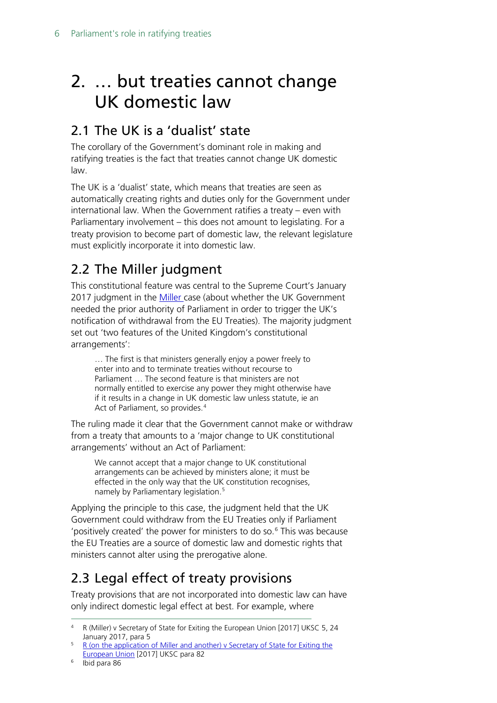# <span id="page-5-0"></span>2. … but treaties cannot change UK domestic law

# <span id="page-5-1"></span>2.1 The UK is a 'dualist' state

The corollary of the Government's dominant role in making and ratifying treaties is the fact that treaties cannot change UK domestic law.

The UK is a 'dualist' state, which means that treaties are seen as automatically creating rights and duties only for the Government under international law. When the Government ratifies a treaty – even with Parliamentary involvement – this does not amount to legislating. For a treaty provision to become part of domestic law, the relevant legislature must explicitly incorporate it into domestic law.

# <span id="page-5-2"></span>2.2 The Miller judgment

This constitutional feature was central to the Supreme Court's January 2017 judgment in the [Miller c](https://www.supremecourt.uk/cases/docs/uksc-2016-0196-judgment.pdf)ase (about whether the UK Government needed the prior authority of Parliament in order to trigger the UK's notification of withdrawal from the EU Treaties). The majority judgment set out 'two features of the United Kingdom's constitutional arrangements':

… The first is that ministers generally enjoy a power freely to enter into and to terminate treaties without recourse to Parliament … The second feature is that ministers are not normally entitled to exercise any power they might otherwise have if it results in a change in UK domestic law unless statute, ie an Act of Parliament, so provides.<sup>[4](#page-5-4)</sup>

The ruling made it clear that the Government cannot make or withdraw from a treaty that amounts to a 'major change to UK constitutional arrangements' without an Act of Parliament:

We cannot accept that a major change to UK constitutional arrangements can be achieved by ministers alone; it must be effected in the only way that the UK constitution recognises, namely by Parliamentary legislation. [5](#page-5-5)

Applying the principle to this case, the judgment held that the UK Government could withdraw from the EU Treaties only if Parliament 'positively created' the power for ministers to do so.[6](#page-5-6) This was because the EU Treaties are a source of domestic law and domestic rights that ministers cannot alter using the prerogative alone.

# <span id="page-5-3"></span>2.3 Legal effect of treaty provisions

Treaty provisions that are not incorporated into domestic law can have only indirect domestic legal effect at best. For example, where

<span id="page-5-4"></span> <sup>4</sup> R (Miller) v Secretary of State for Exiting the European Union [2017] UKSC 5, 24 January 2017, para 5

<span id="page-5-5"></span><sup>&</sup>lt;sup>5</sup> R (on the application of Miller and another) v Secretary of State for Exiting the [European Union](https://www.supremecourt.uk/cases/docs/uksc-2016-0196-judgment.pdf) [2017] UKSC para 82

<span id="page-5-6"></span><sup>6</sup> Ibid para 86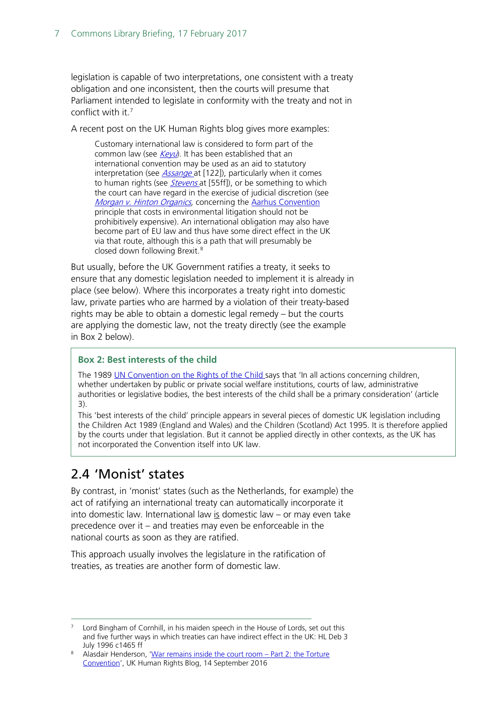legislation is capable of two interpretations, one consistent with a treaty obligation and one inconsistent, then the courts will presume that Parliament intended to legislate in conformity with the treaty and not in conflict with it.[7](#page-6-1)

A recent post on the UK Human Rights blog gives more examples:

Customary international law is considered to form part of the common law (see  $Keyu$ ). It has been established that an international convention may be used as an aid to statutory interpretation (see *[Assange](http://www.bailii.org/uk/cases/UKSC/2012/22.html)* at [122]), particularly when it comes to human rights (see *[Stevens](http://www.bailii.org/ew/cases/EWHC/Admin/2013/792.html)* at [55ff]), or be something to which the court can have regard in the exercise of judicial discretion (see [Morgan v. Hinton Organics,](http://www.bailii.org/ew/cases/EWCA/Civ/2009/107.html) concerning the [Aarhus Convention](https://en.wikipedia.org/wiki/Aarhus_Convention) principle that costs in environmental litigation should not be prohibitively expensive). An international obligation may also have become part of EU law and thus have some direct effect in the UK via that route, although this is a path that will presumably be closed down following Brexit.[8](#page-6-2)

But usually, before the UK Government ratifies a treaty, it seeks to ensure that any domestic legislation needed to implement it is already in place (see below). Where this incorporates a treaty right into domestic law, private parties who are harmed by a violation of their treaty-based rights may be able to obtain a domestic legal remedy – but the courts are applying the domestic law, not the treaty directly (see the example in Box 2 below).

### **Box 2: Best interests of the child**

The 1989 [UN Convention on the Rights of the Child s](http://www.ohchr.org/en/professionalinterest/pages/crc.aspx)ays that 'In all actions concerning children, whether undertaken by public or private social welfare institutions, courts of law, administrative authorities or legislative bodies, the best interests of the child shall be a primary consideration' (article 3).

This 'best interests of the child' principle appears in several pieces of domestic UK legislation including the Children Act 1989 (England and Wales) and the Children (Scotland) Act 1995. It is therefore applied by the courts under that legislation. But it cannot be applied directly in other contexts, as the UK has not incorporated the Convention itself into UK law.

## <span id="page-6-0"></span>2.4 'Monist' states

By contrast, in 'monist' states (such as the Netherlands, for example) the act of ratifying an international treaty can automatically incorporate it into domestic law. International law  $is$  domestic law – or may even take precedence over it – and treaties may even be enforceable in the national courts as soon as they are ratified.

This approach usually involves the legislature in the ratification of treaties, as treaties are another form of domestic law.

<span id="page-6-1"></span>Lord Bingham of Cornhill, in his maiden speech in the House of Lords, set out this and five further ways in which treaties can have indirect effect in the UK: HL Deb 3 July 1996 c1465 ff

<span id="page-6-2"></span><sup>8</sup> Alasdair Henderson, ['War remains inside the court room –](https://ukhumanrightsblog.com/2016/09/14/war-remains-inside-the-court-room-part-2-the-torture-convention/#more-31057) Part 2: the Torture [Convention'](https://ukhumanrightsblog.com/2016/09/14/war-remains-inside-the-court-room-part-2-the-torture-convention/#more-31057), UK Human Rights Blog, 14 September 2016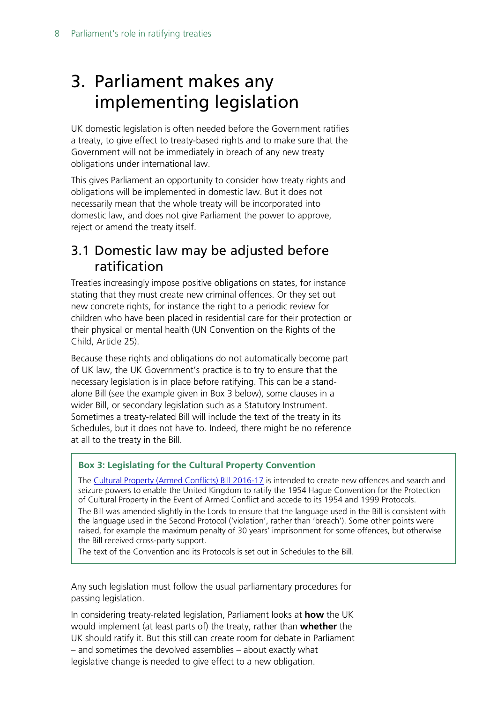# <span id="page-7-0"></span>3. Parliament makes any implementing legislation

UK domestic legislation is often needed before the Government ratifies a treaty, to give effect to treaty-based rights and to make sure that the Government will not be immediately in breach of any new treaty obligations under international law.

This gives Parliament an opportunity to consider how treaty rights and obligations will be implemented in domestic law. But it does not necessarily mean that the whole treaty will be incorporated into domestic law, and does not give Parliament the power to approve, reject or amend the treaty itself.

## <span id="page-7-1"></span>3.1 Domestic law may be adjusted before ratification

Treaties increasingly impose positive obligations on states, for instance stating that they must create new criminal offences. Or they set out new concrete rights, for instance the right to a periodic review for children who have been placed in residential care for their protection or their physical or mental health (UN Convention on the Rights of the Child, Article 25).

Because these rights and obligations do not automatically become part of UK law, the UK Government's practice is to try to ensure that the necessary legislation is in place before ratifying. This can be a standalone Bill (see the example given in Box 3 below), some clauses in a wider Bill, or secondary legislation such as a Statutory Instrument. Sometimes a treaty-related Bill will include the text of the treaty in its Schedules, but it does not have to. Indeed, there might be no reference at all to the treaty in the Bill.

### **Box 3: Legislating for the Cultural Property Convention**

The [Cultural Property \(Armed Conflicts\) Bill 2016-17](http://services.parliament.uk/bills/2016-17/culturalpropertyarmedconflicts.html) is intended to create new offences and search and seizure powers to enable the United Kingdom to ratify the 1954 Hague Convention for the Protection of Cultural Property in the Event of Armed Conflict and accede to its 1954 and 1999 Protocols. The Bill was amended slightly in the Lords to ensure that the language used in the Bill is consistent with the language used in the Second Protocol ('violation', rather than 'breach'). Some other points were raised, for example the maximum penalty of 30 years' imprisonment for some offences, but otherwise the Bill received cross-party support.

The text of the Convention and its Protocols is set out in Schedules to the Bill.

Any such legislation must follow the usual parliamentary procedures for passing legislation.

In considering treaty-related legislation, Parliament looks at **how** the UK would implement (at least parts of) the treaty, rather than **whether** the UK should ratify it. But this still can create room for debate in Parliament – and sometimes the devolved assemblies – about exactly what legislative change is needed to give effect to a new obligation.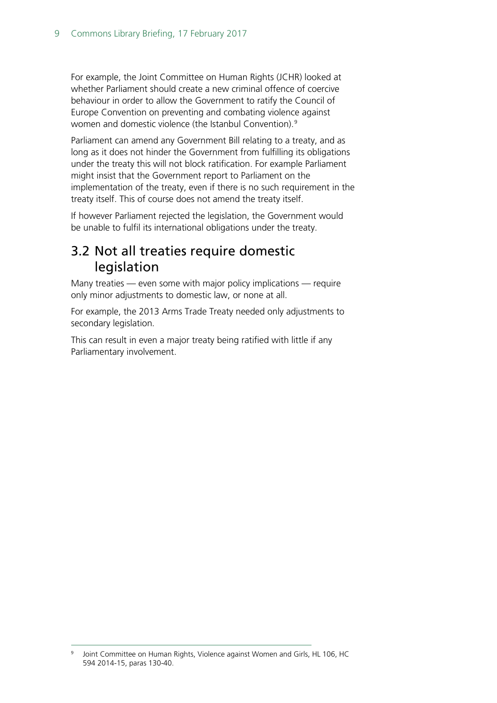For example, the Joint Committee on Human Rights (JCHR) looked at whether Parliament should create a new criminal offence of coercive behaviour in order to allow the Government to ratify the Council of Europe Convention on preventing and combating violence against women and domestic violence (the Istanbul Convention).<sup>[9](#page-8-1)</sup>

Parliament can amend any Government Bill relating to a treaty, and as long as it does not hinder the Government from fulfilling its obligations under the treaty this will not block ratification. For example Parliament might insist that the Government report to Parliament on the implementation of the treaty, even if there is no such requirement in the treaty itself. This of course does not amend the treaty itself.

If however Parliament rejected the legislation, the Government would be unable to fulfil its international obligations under the treaty.

## <span id="page-8-0"></span>3.2 Not all treaties require domestic legislation

Many treaties — even some with major policy implications — require only minor adjustments to domestic law, or none at all.

For example, the 2013 Arms Trade Treaty needed only adjustments to secondary legislation.

This can result in even a major treaty being ratified with little if any Parliamentary involvement.

<span id="page-8-1"></span><sup>&</sup>lt;sup>9</sup> Joint Committee on Human Rights, Violence against Women and Girls, HL 106, HC 594 2014-15, paras 130-40.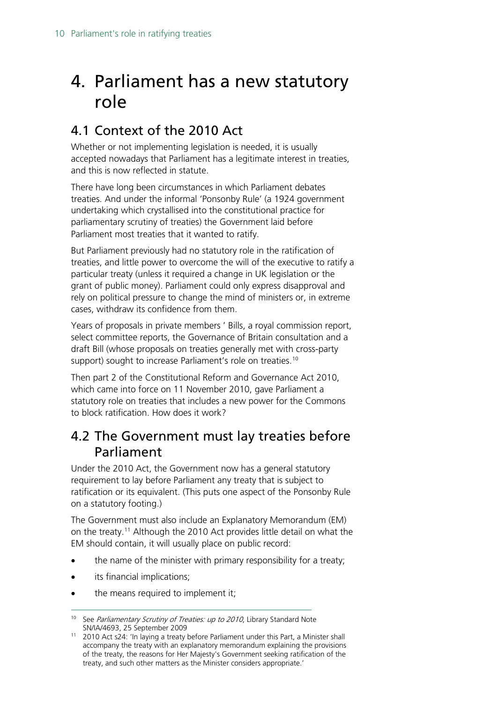# <span id="page-9-0"></span>4. Parliament has a new statutory role

# <span id="page-9-1"></span>4.1 Context of the 2010 Act

Whether or not implementing legislation is needed, it is usually accepted nowadays that Parliament has a legitimate interest in treaties, and this is now reflected in statute.

There have long been circumstances in which Parliament debates treaties. And under the informal 'Ponsonby Rule' (a 1924 government undertaking which crystallised into the constitutional practice for parliamentary scrutiny of treaties) the Government laid before Parliament most treaties that it wanted to ratify.

But Parliament previously had no statutory role in the ratification of treaties, and little power to overcome the will of the executive to ratify a particular treaty (unless it required a change in UK legislation or the grant of public money). Parliament could only express disapproval and rely on political pressure to change the mind of ministers or, in extreme cases, withdraw its confidence from them.

Years of proposals in private members ' Bills, a royal commission report, select committee reports, the Governance of Britain consultation and a draft Bill (whose proposals on treaties generally met with cross-party support) sought to increase Parliament's role on treaties.<sup>[10](#page-9-3)</sup>

Then part 2 of the Constitutional Reform and Governance Act 2010, which came into force on 11 November 2010, gave Parliament a statutory role on treaties that includes a new power for the Commons to block ratification. How does it work?

## <span id="page-9-2"></span>4.2 The Government must lay treaties before Parliament

Under the 2010 Act, the Government now has a general statutory requirement to lay before Parliament any treaty that is subject to ratification or its equivalent. (This puts one aspect of the Ponsonby Rule on a statutory footing.)

The Government must also include an Explanatory Memorandum (EM) on the treaty.[11](#page-9-4) Although the 2010 Act provides little detail on what the EM should contain, it will usually place on public record:

- the name of the minister with primary responsibility for a treaty;
- its financial implications;
- the means required to implement it;

<span id="page-9-3"></span><sup>&</sup>lt;sup>10</sup> See Parliamentary Scrutiny of Treaties: up to 2010, Library Standard Note SN/IA/4693, 25 September 2009

<span id="page-9-4"></span><sup>&</sup>lt;sup>11</sup> 2010 Act s24: 'In laying a treaty before Parliament under this Part, a Minister shall accompany the treaty with an explanatory memorandum explaining the provisions of the treaty, the reasons for Her Majesty's Government seeking ratification of the treaty, and such other matters as the Minister considers appropriate.'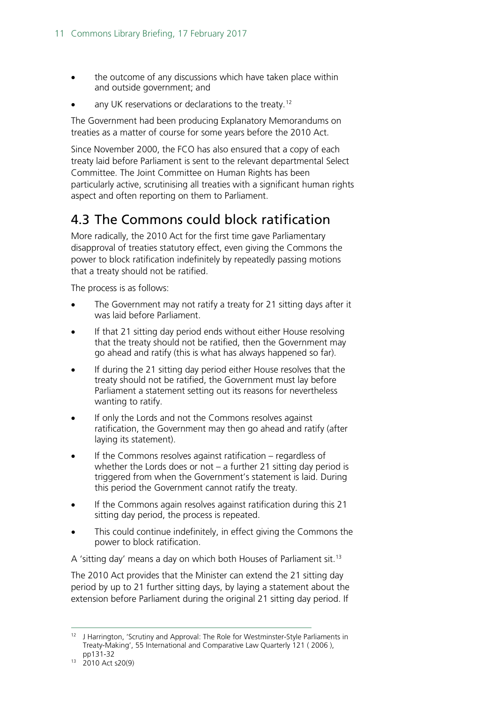- the outcome of any discussions which have taken place within and outside government; and
- any UK reservations or declarations to the treaty.<sup>[12](#page-10-1)</sup>

The Government had been producing Explanatory Memorandums on treaties as a matter of course for some years before the 2010 Act.

Since November 2000, the FCO has also ensured that a copy of each treaty laid before Parliament is sent to the relevant departmental Select Committee. The Joint Committee on Human Rights has been particularly active, scrutinising all treaties with a significant human rights aspect and often reporting on them to Parliament.

# <span id="page-10-0"></span>4.3 The Commons could block ratification

More radically, the 2010 Act for the first time gave Parliamentary disapproval of treaties statutory effect, even giving the Commons the power to block ratification indefinitely by repeatedly passing motions that a treaty should not be ratified.

The process is as follows:

- The Government may not ratify a treaty for 21 sitting days after it was laid before Parliament.
- If that 21 sitting day period ends without either House resolving that the treaty should not be ratified, then the Government may go ahead and ratify (this is what has always happened so far).
- If during the 21 sitting day period either House resolves that the treaty should not be ratified, the Government must lay before Parliament a statement setting out its reasons for nevertheless wanting to ratify.
- If only the Lords and not the Commons resolves against ratification, the Government may then go ahead and ratify (after laying its statement).
- If the Commons resolves against ratification regardless of whether the Lords does or not – a further 21 sitting day period is triggered from when the Government's statement is laid. During this period the Government cannot ratify the treaty.
- If the Commons again resolves against ratification during this 21 sitting day period, the process is repeated.
- This could continue indefinitely, in effect giving the Commons the power to block ratification.

A 'sitting day' means a day on which both Houses of Parliament sit.<sup>[13](#page-10-2)</sup>

The 2010 Act provides that the Minister can extend the 21 sitting day period by up to 21 further sitting days, by laying a statement about the extension before Parliament during the original 21 sitting day period. If

<span id="page-10-1"></span><sup>&</sup>lt;sup>12</sup> J Harrington, 'Scrutiny and Approval: The Role for Westminster-Style Parliaments in Treaty-Making', 55 International and Comparative Law Quarterly 121 ( 2006 ), pp131-32

<span id="page-10-2"></span><sup>13</sup> 2010 Act s20(9)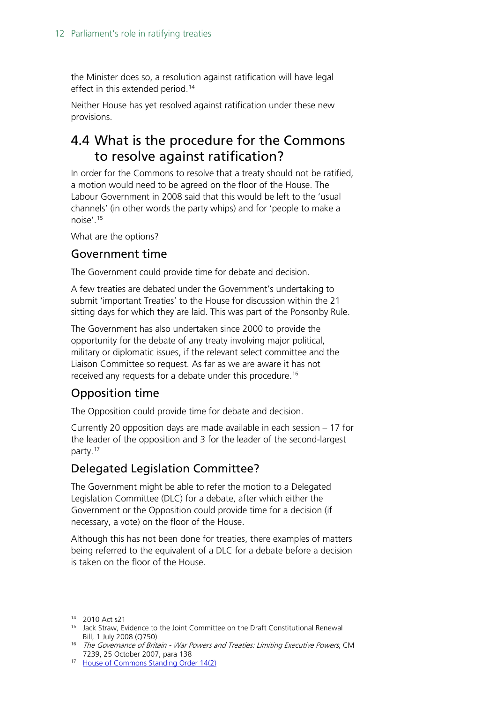the Minister does so, a resolution against ratification will have legal effect in this extended period.<sup>[14](#page-11-1)</sup>

Neither House has yet resolved against ratification under these new provisions.

# <span id="page-11-0"></span>4.4 What is the procedure for the Commons to resolve against ratification?

In order for the Commons to resolve that a treaty should not be ratified, a motion would need to be agreed on the floor of the House. The Labour Government in 2008 said that this would be left to the 'usual channels' (in other words the party whips) and for 'people to make a noise'.[15](#page-11-2)

What are the options?

### Government time

The Government could provide time for debate and decision.

A few treaties are debated under the Government's undertaking to submit 'important Treaties' to the House for discussion within the 21 sitting days for which they are laid. This was part of the Ponsonby Rule.

The Government has also undertaken since 2000 to provide the opportunity for the debate of any treaty involving major political, military or diplomatic issues, if the relevant select committee and the Liaison Committee so request. As far as we are aware it has not received any requests for a debate under this procedure.<sup>[16](#page-11-3)</sup>

### Opposition time

The Opposition could provide time for debate and decision.

Currently 20 opposition days are made available in each session – 17 for the leader of the opposition and 3 for the leader of the second-largest party.<sup>17</sup>

### Delegated Legislation Committee?

The Government might be able to refer the motion to a Delegated Legislation Committee (DLC) for a debate, after which either the Government or the Opposition could provide time for a decision (if necessary, a vote) on the floor of the House.

Although this has not been done for treaties, there examples of matters being referred to the equivalent of a DLC for a debate before a decision is taken on the floor of the House.

 <sup>14</sup> 2010 Act s21

<span id="page-11-2"></span><span id="page-11-1"></span><sup>15</sup> Jack Straw, Evidence to the Joint Committee on the Draft Constitutional Renewal Bill, 1 July 2008 (Q750)<br><sup>16</sup> The Governance of Britain - War Powers and Treaties: Limiting Executive Powers, CM

<span id="page-11-3"></span><sup>7239, 25</sup> October 2007, para 138

<span id="page-11-4"></span><sup>17</sup> [House of Commons Standing Order 14\(2\)](https://www.publications.parliament.uk/pa/cm201516/cmstords/0002/so-2.pdf)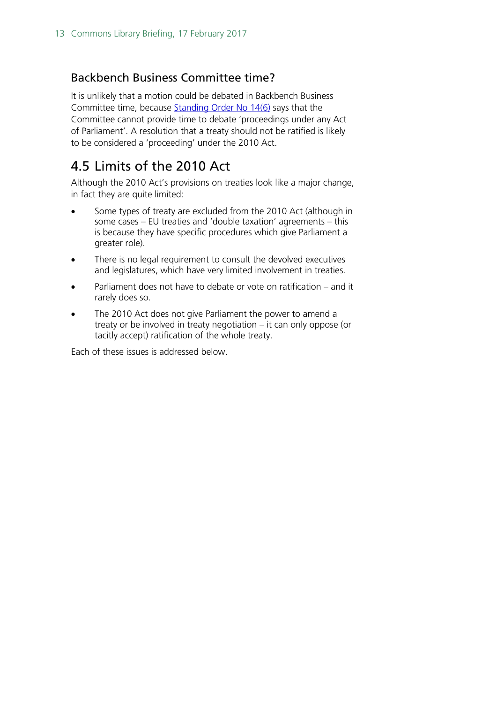### Backbench Business Committee time?

It is unlikely that a motion could be debated in Backbench Business Committee time, because [Standing Order No 14\(6\)](https://www.publications.parliament.uk/pa/cm201516/cmstords/0002/so-2.pdf) says that the Committee cannot provide time to debate 'proceedings under any Act of Parliament'. A resolution that a treaty should not be ratified is likely to be considered a 'proceeding' under the 2010 Act.

# <span id="page-12-0"></span>4.5 Limits of the 2010 Act

Although the 2010 Act's provisions on treaties look like a major change, in fact they are quite limited:

- Some types of treaty are excluded from the 2010 Act (although in some cases – EU treaties and 'double taxation' agreements – this is because they have specific procedures which give Parliament a greater role).
- There is no legal requirement to consult the devolved executives and legislatures, which have very limited involvement in treaties.
- Parliament does not have to debate or vote on ratification and it rarely does so.
- The 2010 Act does not give Parliament the power to amend a treaty or be involved in treaty negotiation – it can only oppose (or tacitly accept) ratification of the whole treaty.

Each of these issues is addressed below.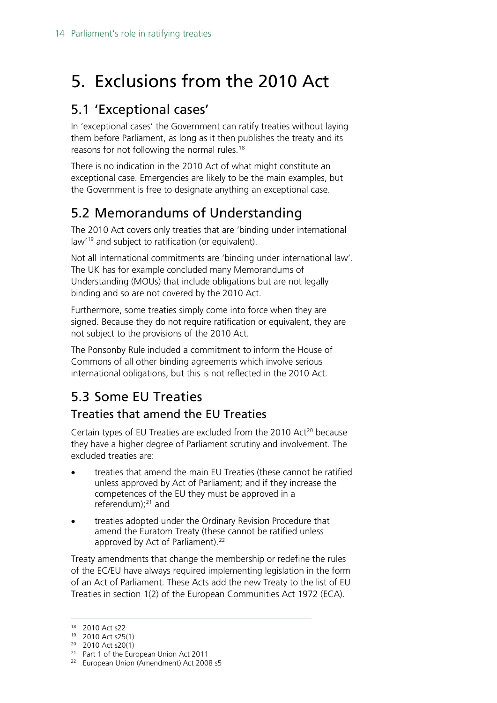# <span id="page-13-0"></span>5. Exclusions from the 2010 Act

# <span id="page-13-1"></span>5.1 'Exceptional cases'

In 'exceptional cases' the Government can ratify treaties without laying them before Parliament, as long as it then publishes the treaty and its reasons for not following the normal rules.<sup>[18](#page-13-4)</sup>

There is no indication in the 2010 Act of what might constitute an exceptional case. Emergencies are likely to be the main examples, but the Government is free to designate anything an exceptional case.

# <span id="page-13-2"></span>5.2 Memorandums of Understanding

The 2010 Act covers only treaties that are 'binding under international law'[19](#page-13-5) and subject to ratification (or equivalent).

Not all international commitments are 'binding under international law'. The UK has for example concluded many Memorandums of Understanding (MOUs) that include obligations but are not legally binding and so are not covered by the 2010 Act.

Furthermore, some treaties simply come into force when they are signed. Because they do not require ratification or equivalent, they are not subject to the provisions of the 2010 Act.

The Ponsonby Rule included a commitment to inform the House of Commons of all other binding agreements which involve serious international obligations, but this is not reflected in the 2010 Act.

# <span id="page-13-3"></span>5.3 Some EU Treaties

## Treaties that amend the EU Treaties

Certain types of EU Treaties are excluded from the [20](#page-13-6)10 Act<sup>20</sup> because they have a higher degree of Parliament scrutiny and involvement. The excluded treaties are:

- treaties that amend the main EU Treaties (these cannot be ratified unless approved by Act of Parliament; and if they increase the competences of the EU they must be approved in a referendum);<sup>[21](#page-13-7)</sup> and
- treaties adopted under the Ordinary Revision Procedure that amend the Euratom Treaty (these cannot be ratified unless approved by Act of Parliament). [22](#page-13-8)

Treaty amendments that change the membership or redefine the rules of the EC/EU have always required implementing legislation in the form of an Act of Parliament. These Acts add the new Treaty to the list of EU Treaties in section 1(2) of the European Communities Act 1972 (ECA).

<span id="page-13-4"></span> <sup>18</sup> 2010 Act s22

<sup>19</sup> 2010 Act s25(1)

<span id="page-13-6"></span><span id="page-13-5"></span><sup>20</sup> 2010 Act s20(1)

<span id="page-13-7"></span><sup>&</sup>lt;sup>21</sup> Part 1 of the European Union Act 2011

<span id="page-13-8"></span><sup>&</sup>lt;sup>22</sup> European Union (Amendment) Act 2008 s5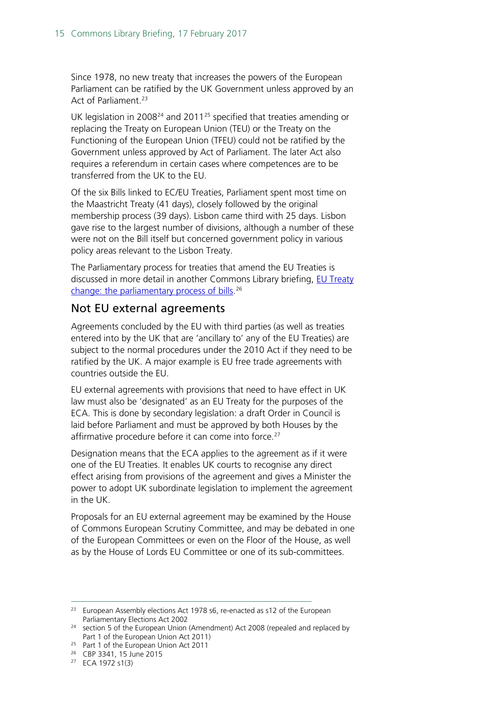Since 1978, no new treaty that increases the powers of the European Parliament can be ratified by the UK Government unless approved by an Act of Parliament.<sup>[23](#page-14-0)</sup>

UK legislation in 2008<sup>[24](#page-14-1)</sup> and 2011<sup>[25](#page-14-2)</sup> specified that treaties amending or replacing the Treaty on European Union (TEU) or the Treaty on the Functioning of the European Union (TFEU) could not be ratified by the Government unless approved by Act of Parliament. The later Act also requires a referendum in certain cases where competences are to be transferred from the UK to the EU.

Of the six Bills linked to EC/EU Treaties, Parliament spent most time on the Maastricht Treaty (41 days), closely followed by the original membership process (39 days). Lisbon came third with 25 days. Lisbon gave rise to the largest number of divisions, although a number of these were not on the Bill itself but concerned government policy in various policy areas relevant to the Lisbon Treaty.

The Parliamentary process for treaties that amend the EU Treaties is discussed in more detail in another Commons Library briefing, [EU Treaty](http://researchbriefings.files.parliament.uk/documents/SN03341/SN03341.pdf)  [change: the parliamentary process of bills.](http://researchbriefings.files.parliament.uk/documents/SN03341/SN03341.pdf) [26](#page-14-3)

### Not EU external agreements

Agreements concluded by the EU with third parties (as well as treaties entered into by the UK that are 'ancillary to' any of the EU Treaties) are subject to the normal procedures under the 2010 Act if they need to be ratified by the UK. A major example is EU free trade agreements with countries outside the EU.

EU external agreements with provisions that need to have effect in UK law must also be 'designated' as an EU Treaty for the purposes of the ECA. This is done by secondary legislation: a draft Order in Council is laid before Parliament and must be approved by both Houses by the affirmative procedure before it can come into force.<sup>[27](#page-14-4)</sup>

Designation means that the ECA applies to the agreement as if it were one of the EU Treaties. It enables UK courts to recognise any direct effect arising from provisions of the agreement and gives a Minister the power to adopt UK subordinate legislation to implement the agreement in the UK.

Proposals for an EU external agreement may be examined by the House of Commons European Scrutiny Committee, and may be debated in one of the European Committees or even on the Floor of the House, as well as by the House of Lords EU Committee or one of its sub-committees.

<span id="page-14-0"></span><sup>&</sup>lt;sup>23</sup> European Assembly elections Act 1978 s6, re-enacted as s12 of the European Parliamentary Elections Act 2002

<span id="page-14-1"></span><sup>&</sup>lt;sup>24</sup> section 5 of the European Union (Amendment) Act 2008 (repealed and replaced by Part 1 of the European Union Act 2011)

<span id="page-14-2"></span><sup>&</sup>lt;sup>25</sup> Part 1 of the European Union Act 2011

<span id="page-14-3"></span><sup>26</sup> CBP 3341, 15 June 2015

<span id="page-14-4"></span><sup>27</sup> ECA 1972 s1(3)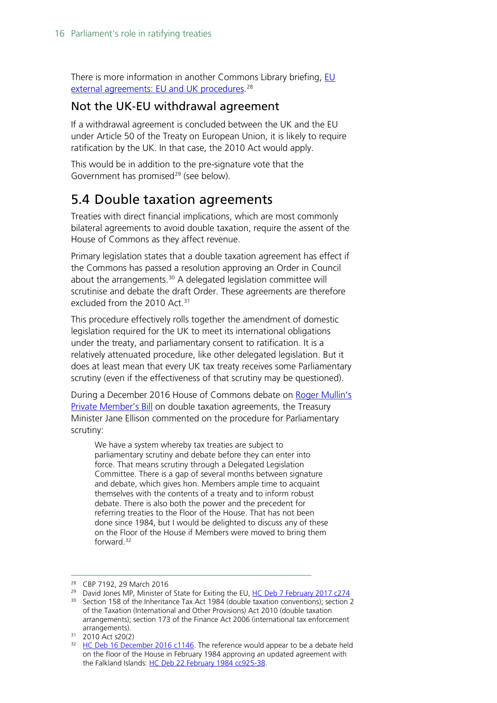There is more information in another Commons Library briefing,  $\underline{\mathsf{EU}}$ <u>external agreements: EU and UK procedures</u>.<sup>[28](#page-15-1)</sup>

### Not the UK-EU withdrawal agreement

If a withdrawal agreement is concluded between the UK and the EU under Article 50 of the Treaty on European Union, it is likely to require ratification by the UK. In that case, the 2010 Act would apply.

This would be in addition to the pre-signature vote that the Government has promised $^{29}$  $^{29}$  $^{29}$  (see below).

## <span id="page-15-0"></span>5.4 Double taxation agreements

Treaties with direct financial implications, which are most commonly bilateral agreements to avoid double taxation, require the assent of the House of Commons as they affect revenue.

Primary legislation states that a double taxation agreement has effect if the Commons has passed a resolution approving an Order in Council about the arrangements. $30$  A delegated legislation committee will scrutinise and debate the draft Order. These agreements are therefore excluded from the  $2010$  Act.<sup>[31](#page-15-4)</sup>

This procedure effectively rolls together the amendment of domestic legislation required for the UK to meet its international obligations under the treaty, and parliamentary consent to ratification. It is a relatively attenuated procedure, like other delegated legislation. But it does at least mean that every UK tax treaty receives some Parliamentary scrutiny (even if the effectiveness of that scrutiny may be questioned).

During a December 2016 House of Commons debate on Roger Mullin's [Private Member's Bill](http://services.parliament.uk/bills/2016-17/doubletaxationtreatiesdevelopingcountries.html) on double taxation agreements, the Treasury Minister Jane Ellison commented on the procedure for Parliamentary scrutiny:

We have a system whereby tax treaties are subject to parliamentary scrutiny and debate before they can enter into force. That means scrutiny through a Delegated Legislation Committee. There is a gap of several months between signature and debate, which gives hon. Members ample time to acquaint themselves with the contents of a treaty and to inform robust debate. There is also both the power and the precedent for referring treaties to the Floor of the House. That has not been done since 1984, but I would be delighted to discuss any of these on the Floor of the House if Members were moved to bring them forward.[32](#page-15-5)

<span id="page-15-1"></span> <sup>28</sup> CBP 7192, 29 March 2016

<span id="page-15-2"></span><sup>&</sup>lt;sup>29</sup> David Jones MP, Minister of State for Exiting the EU, [HC Deb 7 February 2017 c274](https://hansard.parliament.uk/commons/2017-02-07/debates/63BA059F-1DF7-4FE0-818D-3E34E34A5501/EuropeanUnion(NotificationOfWithdrawal)Bill)

<span id="page-15-3"></span><sup>&</sup>lt;sup>30</sup> Section 158 of the Inheritance Tax Act 1984 (double taxation conventions); section 2 of the Taxation (International and Other Provisions) Act 2010 (double taxation arrangements); section 173 of the Finance Act 2006 (international tax enforcement arrangements).

<span id="page-15-4"></span><sup>31</sup> 2010 Act s20(2)

<span id="page-15-5"></span><sup>&</sup>lt;sup>32</sup> [HC Deb 16 December 2016 c1146.](https://goo.gl/r7CXx6) The reference would appear to be a debate held on the floor of the House in February 1984 approving an updated agreement with the Falkland Islands: HC [Deb 22 February 1984 cc925-38.](http://hansard.millbanksystems.com/commons/1984/feb/22/double-taxation-falkland-islands)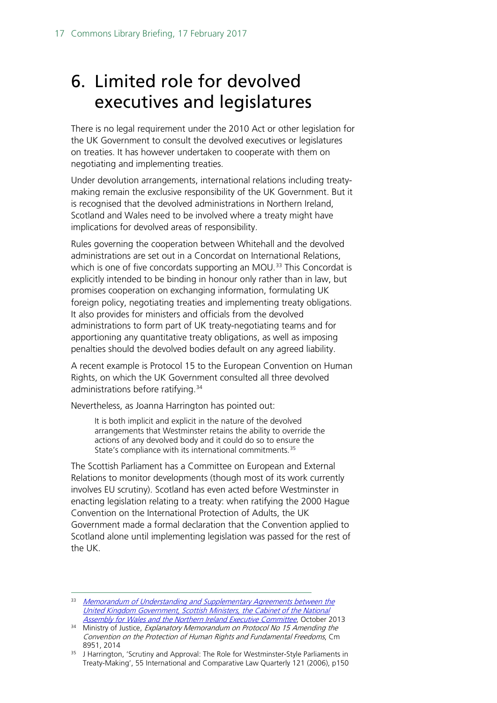# <span id="page-16-0"></span>6. Limited role for devolved executives and legislatures

There is no legal requirement under the 2010 Act or other legislation for the UK Government to consult the devolved executives or legislatures on treaties. It has however undertaken to cooperate with them on negotiating and implementing treaties.

Under devolution arrangements, international relations including treatymaking remain the exclusive responsibility of the UK Government. But it is recognised that the devolved administrations in Northern Ireland, Scotland and Wales need to be involved where a treaty might have implications for devolved areas of responsibility.

Rules governing the cooperation between Whitehall and the devolved administrations are set out in a Concordat on International Relations, which is one of five concordats supporting an MOU.<sup>[33](#page-16-1)</sup> This Concordat is explicitly intended to be binding in honour only rather than in law, but promises cooperation on exchanging information, formulating UK foreign policy, negotiating treaties and implementing treaty obligations. It also provides for ministers and officials from the devolved administrations to form part of UK treaty-negotiating teams and for apportioning any quantitative treaty obligations, as well as imposing penalties should the devolved bodies default on any agreed liability.

A recent example is Protocol 15 to the European Convention on Human Rights, on which the UK Government consulted all three devolved administrations before ratifying.<sup>[34](#page-16-2)</sup>

Nevertheless, as Joanna Harrington has pointed out:

It is both implicit and explicit in the nature of the devolved arrangements that Westminster retains the ability to override the actions of any devolved body and it could do so to ensure the State's compliance with its international commitments.<sup>[35](#page-16-3)</sup>

The Scottish Parliament has a Committee on European and External Relations to monitor developments (though most of its work currently involves EU scrutiny). Scotland has even acted before Westminster in enacting legislation relating to a treaty: when ratifying the 2000 Hague Convention on the International Protection of Adults, the UK Government made a formal declaration that the Convention applied to Scotland alone until implementing legislation was passed for the rest of the UK.

<span id="page-16-1"></span><sup>33</sup> Memorandum of Understanding and Supplementary Agreements between the United Kingdom Government, [Scottish Ministers, the Cabinet of the National](https://www.gov.uk/government/publications/devolution-memorandum-of-understanding-and-supplementary-agreement)  [Assembly for Wales and the Northern Ireland Executive Committee](https://www.gov.uk/government/publications/devolution-memorandum-of-understanding-and-supplementary-agreement), October 2013

<span id="page-16-2"></span><sup>&</sup>lt;sup>34</sup> Ministry of Justice, Explanatory Memorandum on Protocol No 15 Amending the Convention on the Protection of Human Rights and Fundamental Freedoms, Cm 8951, 2014

<span id="page-16-3"></span><sup>&</sup>lt;sup>35</sup> J Harrington, 'Scrutiny and Approval: The Role for Westminster-Style Parliaments in Treaty-Making', 55 International and Comparative Law Quarterly 121 (2006), p150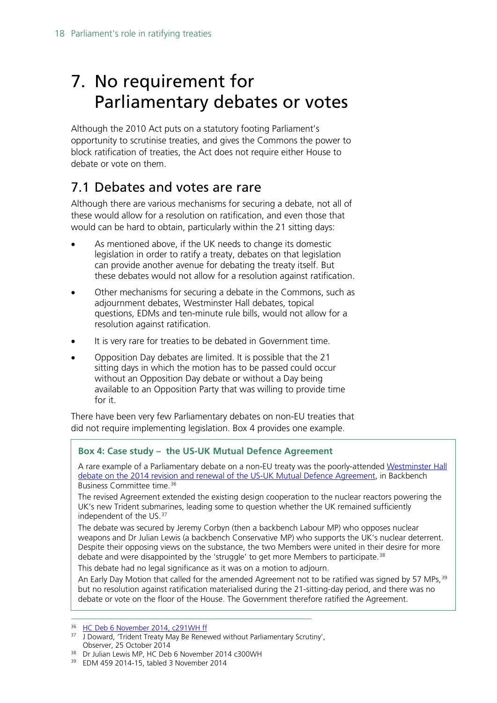# <span id="page-17-0"></span>7. No requirement for Parliamentary debates or votes

Although the 2010 Act puts on a statutory footing Parliament's opportunity to scrutinise treaties, and gives the Commons the power to block ratification of treaties, the Act does not require either House to debate or vote on them.

# <span id="page-17-1"></span>7.1 Debates and votes are rare

Although there are various mechanisms for securing a debate, not all of these would allow for a resolution on ratification, and even those that would can be hard to obtain, particularly within the 21 sitting days:

- As mentioned above, if the UK needs to change its domestic legislation in order to ratify a treaty, debates on that legislation can provide another avenue for debating the treaty itself. But these debates would not allow for a resolution against ratification.
- Other mechanisms for securing a debate in the Commons, such as adjournment debates, Westminster Hall debates, topical questions, EDMs and ten-minute rule bills, would not allow for a resolution against ratification.
- It is very rare for treaties to be debated in Government time.
- Opposition Day debates are limited. It is possible that the 21 sitting days in which the motion has to be passed could occur without an Opposition Day debate or without a Day being available to an Opposition Party that was willing to provide time for it.

There have been very few Parliamentary debates on non-EU treaties that did not require implementing legislation. Box 4 provides one example.

### **Box 4: Case study – the US-UK Mutual Defence Agreement**

A rare example of a Parliamentary debate on a non-EU treaty was the poorly-attended [Westminster Hall](https://hansard.parliament.uk/commons/2014-11-06/debates/14110640000001/US-UKMutualDefenceAgreement)  [debate on the 2014 revision and renewal of the US-UK Mutual Defence Agreement,](https://hansard.parliament.uk/commons/2014-11-06/debates/14110640000001/US-UKMutualDefenceAgreement) in Backbench Business Committee time.[36](#page-17-2)

The revised Agreement extended the existing design cooperation to the nuclear reactors powering the UK's new Trident submarines, leading some to question whether the UK remained sufficiently independent of the US.[37](#page-17-3)

The debate was secured by Jeremy Corbyn (then a backbench Labour MP) who opposes nuclear weapons and Dr Julian Lewis (a backbench Conservative MP) who supports the UK's nuclear deterrent. Despite their opposing views on the substance, the two Members were united in their desire for more debate and were disappointed by the 'struggle' to get more Members to participate.<sup>[38](#page-17-4)</sup>

This debate had no legal significance as it was on a motion to adjourn.

An Early Day Motion that called for the amended Agreement not to be ratified was signed by 57 MPs, <sup>[39](#page-17-5)</sup> but no resolution against ratification materialised during the 21-sitting-day period, and there was no debate or vote on the floor of the House. The Government therefore ratified the Agreement.

<span id="page-17-2"></span><sup>&</sup>lt;sup>36</sup> [HC Deb 6 November 2014, c291WH ff](https://hansard.parliament.uk/commons/2014-11-06/debates/14110640000001/US-UKMutualDefenceAgreement)

<span id="page-17-3"></span><sup>&</sup>lt;sup>37</sup> J Doward, 'Trident Treaty May Be Renewed without Parliamentary Scrutiny', Observer, 25 October 2014

<span id="page-17-4"></span><sup>38</sup> Dr Julian Lewis MP, HC Deb 6 November 2014 c300WH

<span id="page-17-5"></span><sup>39</sup> EDM 459 2014-15, tabled 3 November 2014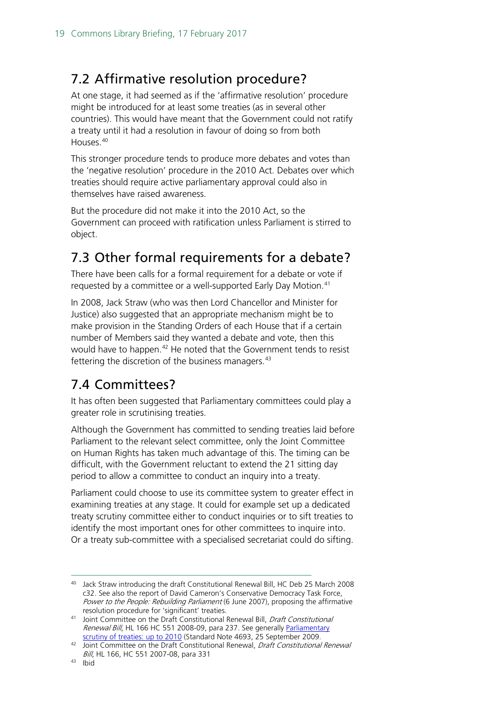# <span id="page-18-0"></span>7.2 Affirmative resolution procedure?

At one stage, it had seemed as if the 'affirmative resolution' procedure might be introduced for at least some treaties (as in several other countries). This would have meant that the Government could not ratify a treaty until it had a resolution in favour of doing so from both Houses.[40](#page-18-3)

This stronger procedure tends to produce more debates and votes than the 'negative resolution' procedure in the 2010 Act. Debates over which treaties should require active parliamentary approval could also in themselves have raised awareness.

But the procedure did not make it into the 2010 Act, so the Government can proceed with ratification unless Parliament is stirred to object.

# <span id="page-18-1"></span>7.3 Other formal requirements for a debate?

There have been calls for a formal requirement for a debate or vote if requested by a committee or a well-supported Early Day Motion.<sup>[41](#page-18-4)</sup>

In 2008, Jack Straw (who was then Lord Chancellor and Minister for Justice) also suggested that an appropriate mechanism might be to make provision in the Standing Orders of each House that if a certain number of Members said they wanted a debate and vote, then this would have to happen.<sup>[42](#page-18-5)</sup> He noted that the Government tends to resist fettering the discretion of the business managers.<sup>[43](#page-18-6)</sup>

# <span id="page-18-2"></span>7.4 Committees?

It has often been suggested that Parliamentary committees could play a greater role in scrutinising treaties.

Although the Government has committed to sending treaties laid before Parliament to the relevant select committee, only the Joint Committee on Human Rights has taken much advantage of this. The timing can be difficult, with the Government reluctant to extend the 21 sitting day period to allow a committee to conduct an inquiry into a treaty.

Parliament could choose to use its committee system to greater effect in examining treaties at any stage. It could for example set up a dedicated treaty scrutiny committee either to conduct inquiries or to sift treaties to identify the most important ones for other committees to inquire into. Or a treaty sub-committee with a specialised secretariat could do sifting.

<span id="page-18-3"></span> <sup>40</sup> Jack Straw introducing the draft Constitutional Renewal Bill, HC Deb 25 March 2008 c32. See also the report of David Cameron's Conservative Democracy Task Force, Power to the People: Rebuilding Parliament (6 June 2007), proposing the affirmative resolution procedure for 'significant' treaties.

<span id="page-18-4"></span><sup>41</sup> Joint Committee on the Draft Constitutional Renewal Bill, Draft Constitutional Renewal Bill, HL 166 HC 551 2008-09, para 237. See generally [Parliamentary](http://researchbriefings.files.parliament.uk/documents/SN04693/SN04693.pdf)  [scrutiny of treaties: up to 2010](http://researchbriefings.files.parliament.uk/documents/SN04693/SN04693.pdf) (Standard Note 4693, 25 September 2009.

<span id="page-18-6"></span><span id="page-18-5"></span><sup>42</sup> Joint Committee on the Draft Constitutional Renewal, Draft Constitutional Renewal Bill, HL 166, HC 551 2007-08, para 331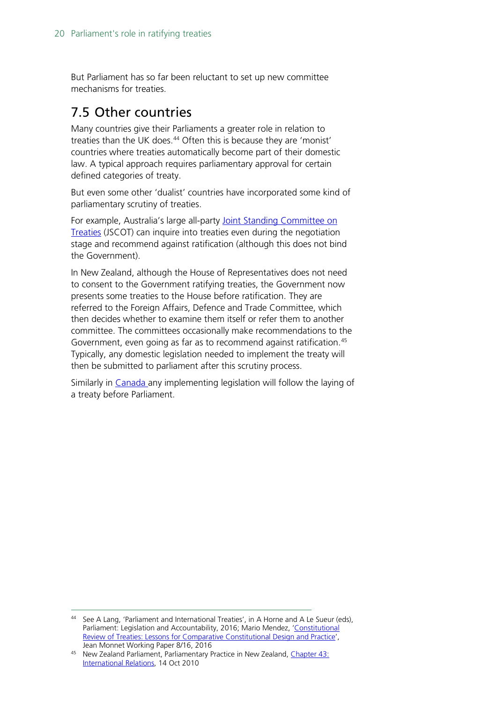But Parliament has so far been reluctant to set up new committee mechanisms for treaties.

## <span id="page-19-0"></span>7.5 Other countries

Many countries give their Parliaments a greater role in relation to treaties than the UK does.<sup>[44](#page-19-1)</sup> Often this is because they are 'monist' countries where treaties automatically become part of their domestic law. A typical approach requires parliamentary approval for certain defined categories of treaty.

But even some other 'dualist' countries have incorporated some kind of parliamentary scrutiny of treaties.

For example, Australia's large all-party Joint Standing Committee on [Treaties](http://www.aph.gov.au/Parliamentary_Business/Committees/Joint/Treaties) (JSCOT) can inquire into treaties even during the negotiation stage and recommend against ratification (although this does not bind the Government).

In New Zealand, although the House of Representatives does not need to consent to the Government ratifying treaties, the Government now presents some treaties to the House before ratification. They are referred to the Foreign Affairs, Defence and Trade Committee, which then decides whether to examine them itself or refer them to another committee. The committees occasionally make recommendations to the Government, even going as far as to recommend against ratification.<sup>[45](#page-19-2)</sup> Typically, any domestic legislation needed to implement the treaty will then be submitted to parliament after this scrutiny process.

Similarly in [Canada a](http://www.treaty-accord.gc.ca/procedures.aspx?lang=eng)ny implementing legislation will follow the laying of a treaty before Parliament.

<span id="page-19-1"></span><sup>44</sup> See A Lang, 'Parliament and International Treaties', in A Horne and A Le Sueur (eds), Parliament: Legislation and Accountability, 2016; Mario Mendez, 'Constitutional [Review of Treaties: Lessons for Comparative Constitutional Design and Practice'](http://www.jeanmonnetprogram.org/paper/constitutional-review-of-treaties-lessons-for-comparative-constitutional-design-and-practice/), Jean Monnet Working Paper 8/16, 2016

<span id="page-19-2"></span><sup>45</sup> New Zealand Parliament, Parliamentary Practice in New Zealand, Chapter 43: [International Relations,](https://www.parliament.nz/en/visit-and-learn/how-parliament-works/parliamentary-practice-in-new-zealand/document/00HOOOCPPNZ_431/chapter-43-international-relations) 14 Oct 2010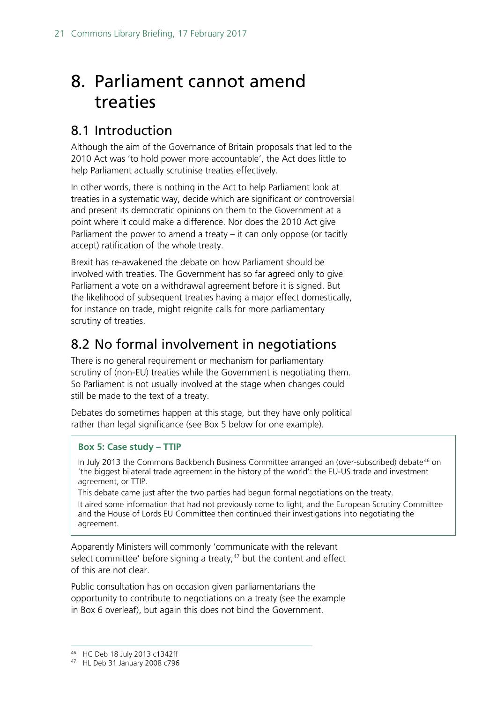# <span id="page-20-0"></span>8. Parliament cannot amend treaties

## <span id="page-20-1"></span>8.1 Introduction

Although the aim of the Governance of Britain proposals that led to the 2010 Act was 'to hold power more accountable', the Act does little to help Parliament actually scrutinise treaties effectively.

In other words, there is nothing in the Act to help Parliament look at treaties in a systematic way, decide which are significant or controversial and present its democratic opinions on them to the Government at a point where it could make a difference. Nor does the 2010 Act give Parliament the power to amend a treaty – it can only oppose (or tacitly accept) ratification of the whole treaty.

Brexit has re-awakened the debate on how Parliament should be involved with treaties. The Government has so far agreed only to give Parliament a vote on a withdrawal agreement before it is signed. But the likelihood of subsequent treaties having a major effect domestically, for instance on trade, might reignite calls for more parliamentary scrutiny of treaties.

## <span id="page-20-2"></span>8.2 No formal involvement in negotiations

There is no general requirement or mechanism for parliamentary scrutiny of (non-EU) treaties while the Government is negotiating them. So Parliament is not usually involved at the stage when changes could still be made to the text of a treaty.

Debates do sometimes happen at this stage, but they have only political rather than legal significance (see Box 5 below for one example).

### **Box 5: Case study – TTIP**

In July 2013 the Commons Backbench Business Committee arranged an (over-subscribed) debate<sup>[46](#page-20-3)</sup> on 'the biggest bilateral trade agreement in the history of the world': the EU-US trade and investment agreement, or TTIP.

This debate came just after the two parties had begun formal negotiations on the treaty. It aired some information that had not previously come to light, and the European Scrutiny Committee and the House of Lords EU Committee then continued their investigations into negotiating the agreement.

Apparently Ministers will commonly 'communicate with the relevant select committee' before signing a treaty, $47$  but the content and effect of this are not clear.

Public consultation has on occasion given parliamentarians the opportunity to contribute to negotiations on a treaty (see the example in Box 6 overleaf), but again this does not bind the Government.

 <sup>46</sup> HC Deb 18 July 2013 c1342ff

<span id="page-20-4"></span><span id="page-20-3"></span><sup>47</sup> HL Deb 31 January 2008 c796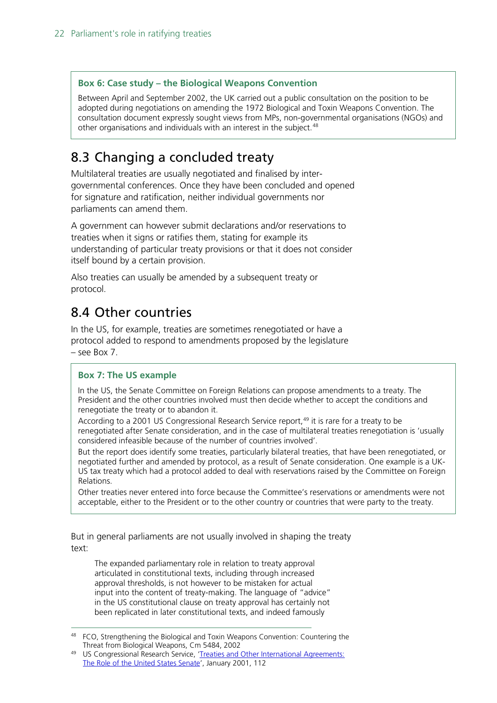### **Box 6: Case study – the Biological Weapons Convention**

Between April and September 2002, the UK carried out a public consultation on the position to be adopted during negotiations on amending the 1972 Biological and Toxin Weapons Convention. The consultation document expressly sought views from MPs, non-governmental organisations (NGOs) and other organisations and individuals with an interest in the subject.<sup>[48](#page-21-2)</sup>

# <span id="page-21-0"></span>8.3 Changing a concluded treaty

Multilateral treaties are usually negotiated and finalised by intergovernmental conferences. Once they have been concluded and opened for signature and ratification, neither individual governments nor parliaments can amend them.

A government can however submit declarations and/or reservations to treaties when it signs or ratifies them, stating for example its understanding of particular treaty provisions or that it does not consider itself bound by a certain provision.

Also treaties can usually be amended by a subsequent treaty or protocol.

## <span id="page-21-1"></span>8.4 Other countries

In the US, for example, treaties are sometimes renegotiated or have a protocol added to respond to amendments proposed by the legislature – see Box 7.

### **Box 7: The US example**

In the US, the Senate Committee on Foreign Relations can propose amendments to a treaty. The President and the other countries involved must then decide whether to accept the conditions and renegotiate the treaty or to abandon it.

According to a 2001 US Congressional Research Service report,<sup>[49](#page-21-3)</sup> it is rare for a treaty to be renegotiated after Senate consideration, and in the case of multilateral treaties renegotiation is 'usually considered infeasible because of the number of countries involved'.

But the report does identify some treaties, particularly bilateral treaties, that have been renegotiated, or negotiated further and amended by protocol, as a result of Senate consideration. One example is a UK-US tax treaty which had a protocol added to deal with reservations raised by the Committee on Foreign Relations.

Other treaties never entered into force because the Committee's reservations or amendments were not acceptable, either to the President or to the other country or countries that were party to the treaty.

But in general parliaments are not usually involved in shaping the treaty text:

The expanded parliamentary role in relation to treaty approval articulated in constitutional texts, including through increased approval thresholds, is not however to be mistaken for actual input into the content of treaty-making. The language of "advice" in the US constitutional clause on treaty approval has certainly not been replicated in later constitutional texts, and indeed famously

<span id="page-21-2"></span><sup>&</sup>lt;sup>48</sup> FCO, Strengthening the Biological and Toxin Weapons Convention: Countering the Threat from Biological Weapons, Cm 5484, 2002

<span id="page-21-3"></span><sup>&</sup>lt;sup>49</sup> US Congressional Research Service, 'Treaties and Other International Agreements: [The Role of the United States Senate'](https://www.gpo.gov/fdsys/pkg/CPRT-106SPRT66922/pdf/CPRT-106SPRT66922.pdf), January 2001, 112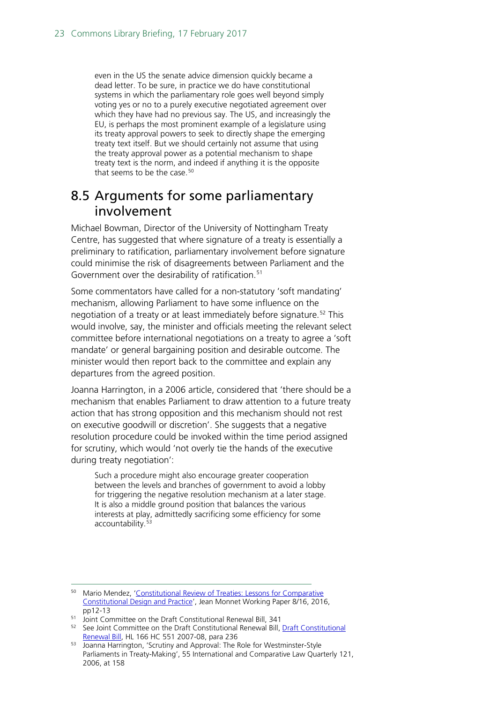even in the US the senate advice dimension quickly became a dead letter. To be sure, in practice we do have constitutional systems in which the parliamentary role goes well beyond simply voting yes or no to a purely executive negotiated agreement over which they have had no previous say. The US, and increasingly the EU, is perhaps the most prominent example of a legislature using its treaty approval powers to seek to directly shape the emerging treaty text itself. But we should certainly not assume that using the treaty approval power as a potential mechanism to shape treaty text is the norm, and indeed if anything it is the opposite that seems to be the case.<sup>[50](#page-22-1)</sup>

### <span id="page-22-0"></span>8.5 Arguments for some parliamentary involvement

Michael Bowman, Director of the University of Nottingham Treaty Centre, has suggested that where signature of a treaty is essentially a preliminary to ratification, parliamentary involvement before signature could minimise the risk of disagreements between Parliament and the Government over the desirability of ratification.<sup>51</sup>

Some commentators have called for a non-statutory 'soft mandating' mechanism, allowing Parliament to have some influence on the negotiation of a treaty or at least immediately before signature.<sup>[52](#page-22-3)</sup> This would involve, say, the minister and officials meeting the relevant select committee before international negotiations on a treaty to agree a 'soft mandate' or general bargaining position and desirable outcome. The minister would then report back to the committee and explain any departures from the agreed position.

Joanna Harrington, in a 2006 article, considered that 'there should be a mechanism that enables Parliament to draw attention to a future treaty action that has strong opposition and this mechanism should not rest on executive goodwill or discretion'. She suggests that a negative resolution procedure could be invoked within the time period assigned for scrutiny, which would 'not overly tie the hands of the executive during treaty negotiation':

Such a procedure might also encourage greater cooperation between the levels and branches of government to avoid a lobby for triggering the negative resolution mechanism at a later stage. It is also a middle ground position that balances the various interests at play, admittedly sacrificing some efficiency for some accountability.<sup>[53](#page-22-4)</sup>

<span id="page-22-1"></span> <sup>50</sup> Mario Mendez, ['Constitutional Review of Treaties: Lessons for Comparative](http://www.jeanmonnetprogram.org/paper/constitutional-review-of-treaties-lessons-for-comparative-constitutional-design-and-practice/)  [Constitutional Design and Practice'](http://www.jeanmonnetprogram.org/paper/constitutional-review-of-treaties-lessons-for-comparative-constitutional-design-and-practice/), Jean Monnet Working Paper 8/16, 2016, pp12-13

<span id="page-22-2"></span><sup>51</sup> Joint Committee on the Draft Constitutional Renewal Bill, 341

<span id="page-22-3"></span><sup>&</sup>lt;sup>52</sup> See Joint Committee on the [Draft Constitutional](http://www.publications.parliament.uk/pa/jt/jtconren.htm) Renewal Bill, **Draft Constitutional** [Renewal Bill,](http://www.publications.parliament.uk/pa/jt/jtconren.htm) HL 166 HC 551 2007-08, para 236

<span id="page-22-4"></span><sup>53</sup> Joanna Harrington, 'Scrutiny and Approval: The Role for Westminster-Style Parliaments in Treaty-Making', 55 International and Comparative Law Quarterly 121, 2006, at 158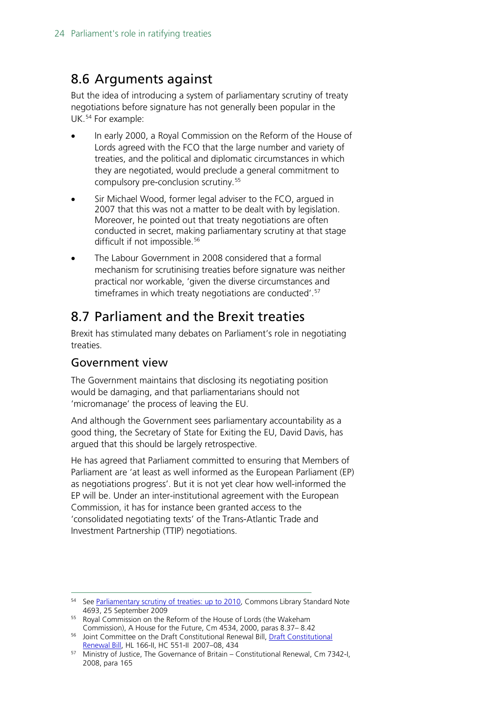## <span id="page-23-0"></span>8.6 Arguments against

But the idea of introducing a system of parliamentary scrutiny of treaty negotiations before signature has not generally been popular in the UK.<sup>[54](#page-23-2)</sup> For example:

- In early 2000, a Royal Commission on the Reform of the House of Lords agreed with the FCO that the large number and variety of treaties, and the political and diplomatic circumstances in which they are negotiated, would preclude a general commitment to compulsory pre-conclusion scrutiny.<sup>[55](#page-23-3)</sup>
- Sir Michael Wood, former legal adviser to the FCO, argued in 2007 that this was not a matter to be dealt with by legislation. Moreover, he pointed out that treaty negotiations are often conducted in secret, making parliamentary scrutiny at that stage difficult if not impossible.<sup>56</sup>
- The Labour Government in 2008 considered that a formal mechanism for scrutinising treaties before signature was neither practical nor workable, 'given the diverse circumstances and timeframes in which treaty negotiations are conducted'.[57](#page-23-5)

# <span id="page-23-1"></span>8.7 Parliament and the Brexit treaties

Brexit has stimulated many debates on Parliament's role in negotiating treaties.

### Government view

The Government maintains that disclosing its negotiating position would be damaging, and that parliamentarians should not 'micromanage' the process of leaving the EU.

And although the Government sees parliamentary accountability as a good thing, the Secretary of State for Exiting the EU, David Davis, has argued that this should be largely retrospective.

He has agreed that Parliament committed to ensuring that Members of Parliament are 'at least as well informed as the European Parliament (EP) as negotiations progress'. But it is not yet clear how well-informed the EP will be. Under an inter-institutional agreement with the European Commission, it has for instance been granted access to the 'consolidated negotiating texts' of the Trans-Atlantic Trade and Investment Partnership (TTIP) negotiations.

<span id="page-23-3"></span>55 Royal Commission on the Reform of the House of Lords (the Wakeham Commission), A House for the Future, Cm 4534, 2000, paras 8.37– 8.42

<span id="page-23-2"></span><sup>&</sup>lt;sup>54</sup> See [Parliamentary scrutiny of treaties: up to 2010,](http://researchbriefings.files.parliament.uk/documents/SN04693/SN04693.pdf) Commons Library Standard Note 4693, 25 September 2009

<span id="page-23-4"></span><sup>&</sup>lt;sup>56</sup> Joint Committee on the [Draft Constitutional](http://www.publications.parliament.uk/pa/jt/jtconren.htm) Renewal Bill, **Draft Constitutional** [Renewal Bill,](http://www.publications.parliament.uk/pa/jt/jtconren.htm) HL 166-II, HC 551-II 2007–08, 434

<span id="page-23-5"></span><sup>57</sup> Ministry of Justice, The Governance of Britain – Constitutional Renewal, Cm 7342-I, 2008, para 165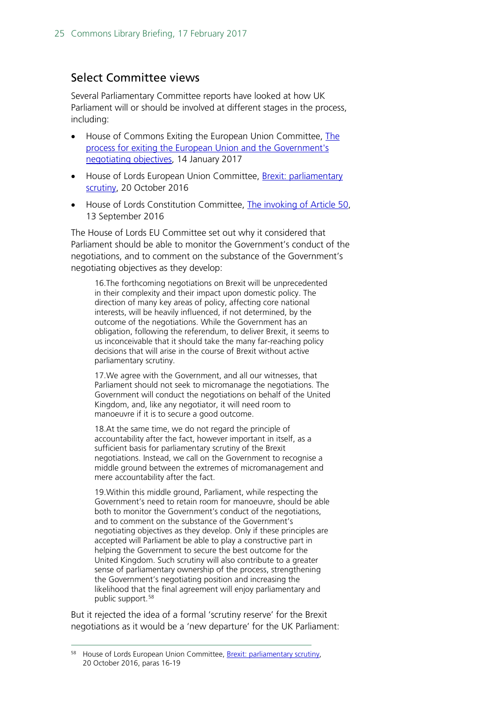### Select Committee views

Several Parliamentary Committee reports have looked at how UK Parliament will or should be involved at different stages in the process, including:

- House of Commons Exiting the European Union Committee, [The](http://www.publications.parliament.uk/pa/cm201617/cmselect/cmexeu/815/81502.htm)  [process for exiting the European Union and the Government's](http://www.publications.parliament.uk/pa/cm201617/cmselect/cmexeu/815/81502.htm)  [negotiating objectives,](http://www.publications.parliament.uk/pa/cm201617/cmselect/cmexeu/815/81502.htm) 14 January 2017
- House of Lords European Union Committee, Brexit: parliamentary [scrutiny,](http://www.publications.parliament.uk/pa/ld201617/ldselect/ldeucom/50/5002.htm) 20 October 2016
- House of Lords Constitution Committee, [The invoking of Article](http://www.parliament.uk/business/committees/committees-a-z/lords-select/constitution-committee/publications/) 50, 13 September 2016

The House of Lords EU Committee set out why it considered that Parliament should be able to monitor the Government's conduct of the negotiations, and to comment on the substance of the Government's negotiating objectives as they develop:

16.The forthcoming negotiations on Brexit will be unprecedented in their complexity and their impact upon domestic policy. The direction of many key areas of policy, affecting core national interests, will be heavily influenced, if not determined, by the outcome of the negotiations. While the Government has an obligation, following the referendum, to deliver Brexit, it seems to us inconceivable that it should take the many far-reaching policy decisions that will arise in the course of Brexit without active parliamentary scrutiny.

17.We agree with the Government, and all our witnesses, that Parliament should not seek to micromanage the negotiations. The Government will conduct the negotiations on behalf of the United Kingdom, and, like any negotiator, it will need room to manoeuvre if it is to secure a good outcome.

18.At the same time, we do not regard the principle of accountability after the fact, however important in itself, as a sufficient basis for parliamentary scrutiny of the Brexit negotiations. Instead, we call on the Government to recognise a middle ground between the extremes of micromanagement and mere accountability after the fact.

19.Within this middle ground, Parliament, while respecting the Government's need to retain room for manoeuvre, should be able both to monitor the Government's conduct of the negotiations, and to comment on the substance of the Government's negotiating objectives as they develop. Only if these principles are accepted will Parliament be able to play a constructive part in helping the Government to secure the best outcome for the United Kingdom. Such scrutiny will also contribute to a greater sense of parliamentary ownership of the process, strengthening the Government's negotiating position and increasing the likelihood that the final agreement will enjoy parliamentary and public support.<sup>[58](#page-24-0)</sup>

But it rejected the idea of a formal 'scrutiny reserve' for the Brexit negotiations as it would be a 'new departure' for the UK Parliament:

<span id="page-24-0"></span> <sup>58</sup> House of Lords European Union Committee, [Brexit: parliamentary scrutiny,](https://www.publications.parliament.uk/pa/ld201617/ldselect/ldeucom/50/5005.htm#_idTextAnchor007) 20 October 2016, paras 16-19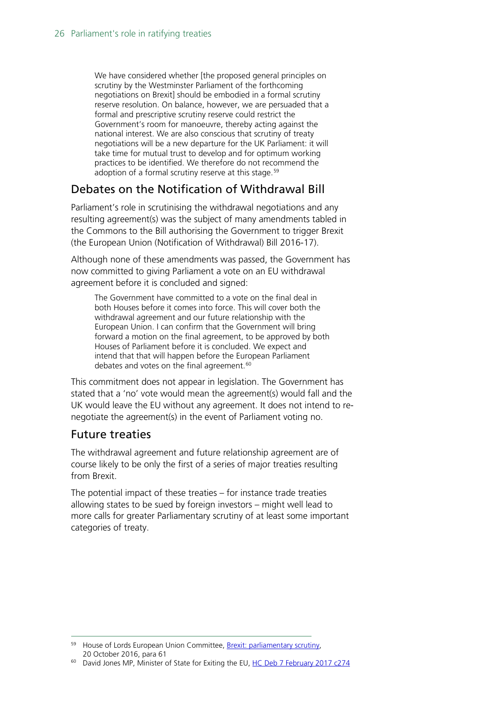We have considered whether [the proposed general principles on scrutiny by the Westminster Parliament of the forthcoming negotiations on Brexit] should be embodied in a formal scrutiny reserve resolution. On balance, however, we are persuaded that a formal and prescriptive scrutiny reserve could restrict the Government's room for manoeuvre, thereby acting against the national interest. We are also conscious that scrutiny of treaty negotiations will be a new departure for the UK Parliament: it will take time for mutual trust to develop and for optimum working practices to be identified. We therefore do not recommend the adoption of a formal scrutiny reserve at this stage.<sup>[59](#page-25-0)</sup>

### Debates on the Notification of Withdrawal Bill

Parliament's role in scrutinising the withdrawal negotiations and any resulting agreement(s) was the subject of many amendments tabled in the Commons to the Bill authorising the Government to trigger Brexit (the European Union (Notification of Withdrawal) Bill 2016-17).

Although none of these amendments was passed, the Government has now committed to giving Parliament a vote on an EU withdrawal agreement before it is concluded and signed:

The Government have committed to a vote on the final deal in both Houses before it comes into force. This will cover both the withdrawal agreement and our future relationship with the European Union. I can confirm that the Government will bring forward a motion on the final agreement, to be approved by both Houses of Parliament before it is concluded. We expect and intend that that will happen before the European Parliament debates and votes on the final agreement.<sup>60</sup>

This commitment does not appear in legislation. The Government has stated that a 'no' vote would mean the agreement(s) would fall and the UK would leave the EU without any agreement. It does not intend to renegotiate the agreement(s) in the event of Parliament voting no.

### Future treaties

The withdrawal agreement and future relationship agreement are of course likely to be only the first of a series of major treaties resulting from Brexit.

The potential impact of these treaties – for instance trade treaties allowing states to be sued by foreign investors – might well lead to more calls for greater Parliamentary scrutiny of at least some important categories of treaty.

<span id="page-25-0"></span> <sup>59</sup> House of Lords European Union Committee, [Brexit: parliamentary scrutiny,](https://www.publications.parliament.uk/pa/ld201617/ldselect/ldeucom/50/5005.htm#_idTextAnchor007) 20 October 2016, para 61

<span id="page-25-1"></span><sup>&</sup>lt;sup>60</sup> David Jones MP, Minister of State for Exiting the EU, [HC Deb 7 February 2017 c274](https://hansard.parliament.uk/commons/2017-02-07/debates/63BA059F-1DF7-4FE0-818D-3E34E34A5501/EuropeanUnion(NotificationOfWithdrawal)Bill)